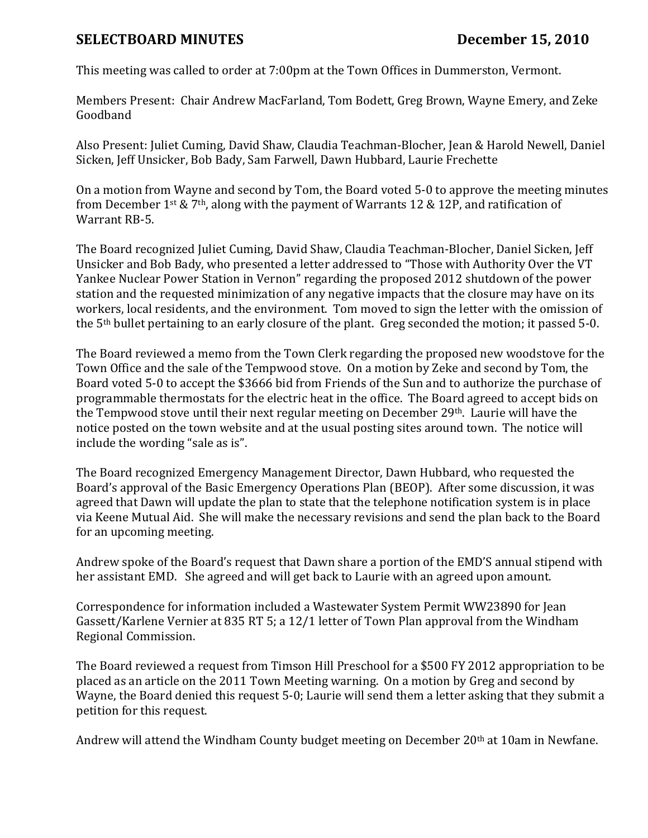## SELECTBOARD MINUTES December 15, 2010

This meeting was called to order at 7:00pm at the Town Offices in Dummerston, Vermont.

Members Present: Chair Andrew MacFarland, Tom Bodett, Greg Brown, Wayne Emery, and Zeke Goodband

Also Present: Juliet Cuming, David Shaw, Claudia Teachman-Blocher, Jean & Harold Newell, Daniel Sicken, Jeff Unsicker, Bob Bady, Sam Farwell, Dawn Hubbard, Laurie Frechette

On a motion from Wayne and second by Tom, the Board voted 5-0 to approve the meeting minutes from December 1<sup>st</sup> & 7<sup>th</sup>, along with the payment of Warrants 12 & 12P, and ratification of Warrant RB-5.

The Board recognized Juliet Cuming, David Shaw, Claudia Teachman-Blocher, Daniel Sicken, Jeff Unsicker and Bob Bady, who presented a letter addressed to "Those with Authority Over the VT Yankee Nuclear Power Station in Vernon" regarding the proposed 2012 shutdown of the power station and the requested minimization of any negative impacts that the closure may have on its workers, local residents, and the environment. Tom moved to sign the letter with the omission of the 5th bullet pertaining to an early closure of the plant. Greg seconded the motion; it passed 5-0.

The Board reviewed a memo from the Town Clerk regarding the proposed new woodstove for the Town Office and the sale of the Tempwood stove. On a motion by Zeke and second by Tom, the Board voted 5-0 to accept the \$3666 bid from Friends of the Sun and to authorize the purchase of programmable thermostats for the electric heat in the office. The Board agreed to accept bids on the Tempwood stove until their next regular meeting on December 29th. Laurie will have the notice posted on the town website and at the usual posting sites around town. The notice will include the wording "sale as is".

The Board recognized Emergency Management Director, Dawn Hubbard, who requested the Board's approval of the Basic Emergency Operations Plan (BEOP). After some discussion, it was agreed that Dawn will update the plan to state that the telephone notification system is in place via Keene Mutual Aid. She will make the necessary revisions and send the plan back to the Board for an upcoming meeting.

Andrew spoke of the Board's request that Dawn share a portion of the EMD'S annual stipend with her assistant EMD. She agreed and will get back to Laurie with an agreed upon amount.

Correspondence for information included a Wastewater System Permit WW23890 for Jean Gassett/Karlene Vernier at 835 RT 5; a 12/1 letter of Town Plan approval from the Windham Regional Commission.

The Board reviewed a request from Timson Hill Preschool for a \$500 FY 2012 appropriation to be placed as an article on the 2011 Town Meeting warning. On a motion by Greg and second by Wayne, the Board denied this request 5-0; Laurie will send them a letter asking that they submit a petition for this request.

Andrew will attend the Windham County budget meeting on December 20th at 10am in Newfane.